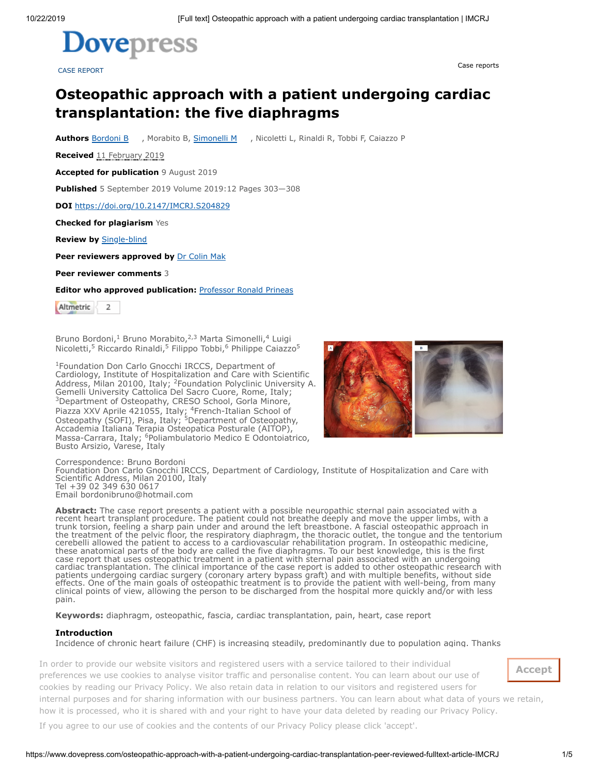

CASE REPORT

Case reports

# **Osteopathic approach with a patient undergoing cardiac transplantation: the five diaphragms**

**Authors** [Bordoni](https://orcid.org/0000-0002-4949-5126) B , Morabito B, [Simonelli](https://orcid.org/0000-0002-1712-9113) M , Nicoletti L, Rinaldi R, Tobbi F, Caiazzo P

**Received** 11 February 2019

**Accepted for publication** 9 August 2019

**Published** 5 September 2019 Volume 2019:12 Pages 303—308

**DOI** <https://doi.org/10.2147/IMCRJ.S204829>

**Checked for plagiarism** Yes

**Review by** [Single-blind](https://www.dovepress.com/peer_review_guidelines.php)

**Peer reviewers approved by** Dr [Colin](https://www.dovepress.com/public_profile.php?id=601075) Mak

**Peer reviewer comments** 3

**Editor who approved publication:** [Professor](https://www.dovepress.com/public_profile.php?id=14684) Ronald Prineas

Altmetric  $\overline{z}$ 

Bruno Bordoni,<sup>1</sup> Bruno Morabito,<sup>2,3</sup> Marta Simonelli,<sup>4</sup> Luigi Nicoletti,<sup>5</sup> Riccardo Rinaldi,<sup>5</sup> Filippo Tobbi,<sup>6</sup> Philippe Caiazzo<sup>5</sup>

<sup>1</sup>Foundation Don Carlo Gnocchi IRCCS, Department of Cardiology, Institute of Hospitalization and Care with Scientific Address, Milan 20100, Italy; <sup>2</sup>Foundation Polyclinic University A. Gemelli University Cattolica Del Sacro Cuore, Rome, Italy; <sup>3</sup>Department of Osteopathy, CRESO School, Gorla Minore, Piazza XXV Aprile 421055, Italy; <sup>4</sup>French-Italian School of Osteopathy (SOFI), Pisa, Italy; <sup>5</sup>Department of Osteopathy, Accademia Italiana Terapia Osteopatica Posturale (AITOP), Massa-Carrara, Italy; <sup>6</sup>Poliambulatorio Medico E Odontoiatrico, Busto Arsizio, Varese, Italy



Correspondence: Bruno Bordoni Foundation Don Carlo Gnocchi IRCCS, Department of Cardiology, Institute of Hospitalization and Care with Scientific Address, Milan 20100, Italy Tel +39 02 349 630 0617 Email bordonibruno@hotmail.com

**Abstract:** The case report presents a patient with a possible neuropathic sternal pain associated with a recent heart transplant procedure. The patient could not breathe deeply and move the upper limbs, with a trunk torsion, feeling a sharp pain under and around the left breastbone. A fascial osteopathic approach in the treatment of the pelvic floor, the respiratory diaphragm, the thoracic outlet, the tongue and the tentorium cerebelli allowed the patient to access to a cardiovascular rehabilitation program. In osteopathic medicine, these anatomical parts of the body are called the five diaphragms. To our best knowledge, this is the first case report that uses osteopathic treatment in a patient with sternal pain associated with an undergoing cardiac transplantation. The clinical importance of the case report is added to other osteopathic research with patients undergoing cardiac surgery (coronary artery bypass graft) and with multiple benefits, without side effects. One of the main goals of osteopathic treatment is to provide the patient with well-being, from many clinical points of view, allowing the person to be discharged from the hospital more quickly and/or with less pain.

**Keywords:** diaphragm, osteopathic, fascia, cardiac transplantation, pain, heart, case report

#### **Introduction**

<span id="page-0-2"></span><span id="page-0-1"></span><span id="page-0-0"></span>Incidence of chronic heart failure (CHF) is increasing steadily, predominantly due to population aging. Thanks

rder to provide our website visiters and registered users with a service tailored to their individual In order to provide our website visitors and registered users with a service tailored to their individual<br>
The contract to their individual  $\alpha$  to the manufacture  $\alpha$ preferences we use cookies to analyse visitor traffic and personalise content. You can learn about our use of cookies by reading our [Privacy Policy](https://www.dovepress.com/privacy.php). We also retain data in relation to our visitors and registered users for quality of life or may lead to death: infections, aortic aneurysm, arterial embolism, rejection, cardiac arrest, internal purposes and for sharing information with [ou](#page-3-1)r business partners. You can learn about what data of yours we retain, how it is processed, who it is shared with and your right to have your data deleted by reading our [Privacy Policy](https://www.dovepress.com/privacy.php).

Pain is a non-fatal post-transplant complication that can decrease a patient's quality of life (QoL). Pain If you agree to our use of cookies and the contents of our Privacy Policy please click 'accept'.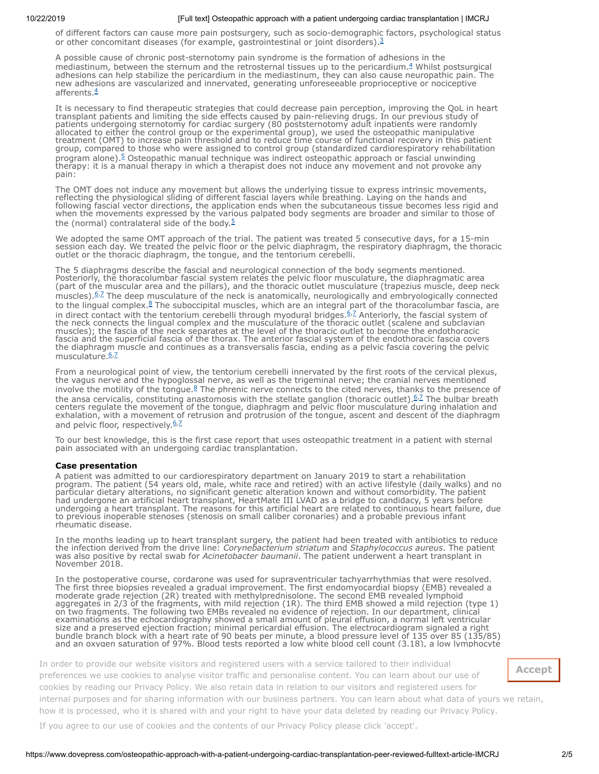of different factors can cause more pain postsurgery, such as socio-demographic factors, psychological status or other concomitant diseases (for example, gastrointestinal or joint disorders).<sup>[3](#page-3-2)</sup>

<span id="page-1-1"></span>A possible cause of chronic post-sternotomy pain syndrome is the formation of adhesions in the mediastinum, between the sternum and the retrosternal tissues up to the pericardium.<sup>[4](#page-3-3)</sup> Whilst postsurgical adhesions can help stabilize the pericardium in the mediastinum, they can also cause neuropathic pain. The new adhesions are vascularized and innervated, generating unforeseeable proprioceptive or nociceptive afferents.<sup>[4](#page-3-3)</sup>

It is necessary to find therapeutic strategies that could decrease pain perception, improving the QoL in heart transplant patients and limiting the side effects caused by pain-relieving drugs. In our previous study of patients undergoing sternotomy for cardiac surgery (80 poststernotomy adult inpatients were randomly allocated to either the control group or the experimental group), we used the osteopathic manipulative treatment (OMT) to increase pain threshold and to reduce time course of functional recovery in this patient group, compared to those who were assigned to control group (standardized cardiorespiratory rehabilitation program alone).<sup>[5](#page-3-4)</sup> Osteopathic manual technique was indirect osteopathic approach or fascial unwinding therapy: it is a manual therapy in which a therapist does not induce any movement and not provoke any pain:

<span id="page-1-2"></span>The OMT does not induce any movement but allows the underlying tissue to express intrinsic movements, reflecting the physiological sliding of different fascial layers while breathing. Laying on the hands and following fascial vector directions, the application ends when the subcutaneous tissue becomes less rigid and when the movements expressed by the various palpated body segments are broader and similar to those of the (normal) contralateral side of the body.<sup>[5](#page-3-4)</sup>

We adopted the same OMT approach of the trial. The patient was treated 5 consecutive days, for a 15-min session each day. We treated the pelvic floor or the pelvic diaphragm, the respiratory diaphragm, the thoracic outlet or the thoracic diaphragm, the tongue, and the tentorium cerebelli.

<span id="page-1-5"></span><span id="page-1-4"></span><span id="page-1-3"></span>The 5 diaphragms describe the fascial and neurological connection of the body segments mentioned. Posteriorly, the thoracolumbar fascial system relates the pelvic floor musculature, the diaphragmatic area (part of the muscular area and the pillars), and the thoracic outlet musculature (trapezius muscle, deep neck muscles). <sup>[6](#page-3-5),2</sup> The deep musculature of the neck is anatomically, neurologically and embryologically connected to the lingual complex.<sup>[8](#page-3-7)</sup> The suboccipital muscles, which are an integral part of the thoracolumbar fascia, are in direct contact with the tentorium cerebelli through myodural bridges.<sup>[6](#page-3-5),2</sup> Anteriorly, the fascial system of the neck connects the lingual complex and the musculature of the thoracic outlet (scalene and subclavian muscles); the fascia of the neck separates at the level of the thoracic outlet to become the endothoracic fascia and the superficial fascia of the thorax. The anterior fascial system of the endothoracic fascia covers the diaphragm muscle and continues as a transversalis fascia, ending as a pelvic fascia covering the pelvic musculature.<sup>[6](#page-3-5),2</sup>

From a neurological point of view, the tentorium cerebelli innervated by the first roots of the cervical plexus, the vagus nerve and the hypoglossal nerve, as well as the trigeminal nerve; the cranial nerves mentioned involve the motility of the tongue. $8$  The phrenic nerve connects to the cited nerves, thanks to the presence of the ansa cervicalis, constituting anastomosis with the stellate ganglion (thoracic outlet). <sup>[6](#page-3-5),2</sup> The bulbar breath centers regulate the movement of the tongue, diaphragm and pelvic floor musculature during inhalation and exhalation, with a movement of retrusion and protrusion of the tongue, ascent and descent of the diaphragm and pelvic floor, respectively.<sup>[6](#page-3-5), [7](#page-3-6)</sup>

To our best knowledge, this is the first case report that uses osteopathic treatment in a patient with sternal pain associated with an undergoing cardiac transplantation.

#### **Case presentation**

A patient was admitted to our cardiorespiratory department on January 2019 to start a rehabilitation program. The patient (54 years old, male, white race and retired) with an active lifestyle (daily walks) and no particular dietary alterations, no significant genetic alteration known and without comorbidity. The patient had undergone an artificial heart transplant, HeartMate III LVAD as a bridge to candidacy, 5 years before undergoing a heart transplant. The reasons for this artificial heart are related to continuous heart failure, due to previous inoperable stenoses (stenosis on small caliber coronaries) and a probable previous infant rheumatic disease.

In the months leading up to heart transplant surgery, the patient had been treated with antibiotics to reduce the infection derived from the drive line: *Corynebacterium striatum* and *Staphylococcus aureus*. The patient was also positive by rectal swab for *Acinetobacter baumanii*. The patient underwent a heart transplant in November 2018.

In the postoperative course, cordarone was used for supraventricular tachyarrhythmias that were resolved. The first three biopsies revealed a gradual improvement. The first endomyocardial biopsy (EMB) revealed a moderate grade rejection (2R) treated with methylprednisolone. The second EMB revealed lymphoid aggregates in 2/3 of the fragments, with mild rejection (1R). The third EMB showed a mild rejection (type 1) on two fragments. The following two EMBs revealed no evidence of rejection. In our department, clinical examinations as the echocardiography showed a small amount of pleural effusion, a normal left ventricular size and a preserved ejection fraction; minimal pericardial effusion. The electrocardiogram signaled a right bundle branch block with a heart rate of 90 beats per minute, a blood pressure level of 135 over 85 (135/85) and an oxygen saturation of 97%. Blood tests reported a low white blood cell count (3.18), a low lymphocyte

<span id="page-1-0"></span>rder to provide our website visitors and registered users with a service tailored to their individual In order to provide our website visitors and registered users with a service tailored to their individual preferences we use cookies to analyse visitor traffic and personalise conte[nt. You can](#page-1-0) learn about our use of how it is processed, who it is shared with and your right to have your data deleted by reading our [Privacy Policy](https://www.dovepress.com/privacy.php).<br>. cookies by reading our [Privacy Policy](https://www.dovepress.com/privacy.php). We also retain data in relation to our visitors and registered users for inte[rnal purposes a](https://www.dovepress.com/cr_data/article_fulltext/s204000/204829/img/IMCRJ_A_204829_O_F0001g.jpg)nd for sharing information with our business partners. You can learn about what data of yours we retain,

If you agree to our use of cookies and the contents of our Privacy Policy please click 'accept'.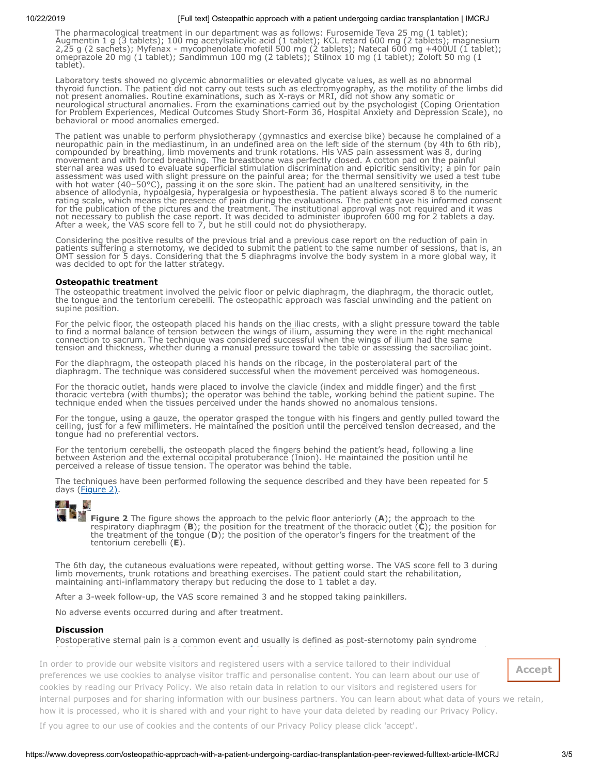The pharmacological treatment in our department was as follows: Furosemide Teva 25 mg (1 tablet); Augmentin 1 g (3 tablets); 100 mg acetylsalicylic acid (1 tablet); KCL retard 600 mg (2 tablets); magnesium 2,25 g (2 sachets); Myfenax - mycophenolate mofetil 500 mg (2 tablets); Natecal 600 mg +400UI (1 tablet); omeprazole 20 mg (1 tablet); Sandimmun 100 mg (2 tablets); Stilnox 10 mg (1 tablet); Zoloft 50 mg (1 tablet).

Laboratory tests showed no glycemic abnormalities or elevated glycate values, as well as no abnormal thyroid function. The patient did not carry out tests such as electromyography, as the motility of the limbs did not present anomalies. Routine examinations, such as X-rays or MRI, did not show any somatic or neurological structural anomalies. From the examinations carried out by the psychologist (Coping Orientation for Problem Experiences, Medical Outcomes Study Short-Form 36, Hospital Anxiety and Depression Scale), no behavioral or mood anomalies emerged.

The patient was unable to perform physiotherapy (gymnastics and exercise bike) because he complained of a neuropathic pain in the mediastinum, in an undefined area on the left side of the sternum (by 4th to 6th rib), compounded by breathing, limb movements and trunk rotations. His VAS pain assessment was 8, during movement and with forced breathing. The breastbone was perfectly closed. A cotton pad on the painful sternal area was used to evaluate superficial stimulation discrimination and epicritic sensitivity; a pin for pain assessment was used with slight pressure on the painful area; for the thermal sensitivity we used a test tube with hot water (40–50°C), passing it on the sore skin. The patient had an unaltered sensitivity, in the absence of allodynia, hypoalgesia, hyperalgesia or hypoesthesia. The patient always scored 8 to the numeric rating scale, which means the presence of pain during the evaluations. The patient gave his informed consent for the publication of the pictures and the treatment. The institutional approval was not required and it was not necessary to publish the case report. It was decided to administer ibuprofen 600 mg for 2 tablets a day. After a week, the VAS score fell to 7, but he still could not do physiotherapy.

Considering the positive results of the previous trial and a previous case report on the reduction of pain in patients suffering a sternotomy, we decided to submit the patient to the same number of sessions, that is, an OMT session for 5 days. Considering that the 5 diaphragms involve the body system in a more global way, it was decided to opt for the latter strategy.

#### **Osteopathic treatment**

The osteopathic treatment involved the pelvic floor or pelvic diaphragm, the diaphragm, the thoracic outlet, the tongue and the tentorium cerebelli. The osteopathic approach was fascial unwinding and the patient on supine position.

For the pelvic floor, the osteopath placed his hands on the iliac crests, with a slight pressure toward the table to find a normal balance of tension between the wings of ilium, assuming they were in the right mechanical connection to sacrum. The technique was considered successful when the wings of ilium had the same tension and thickness, whether during a manual pressure toward the table or assessing the sacroiliac joint.

For the diaphragm, the osteopath placed his hands on the ribcage, in the posterolateral part of the diaphragm. The technique was considered successful when the movement perceived was homogeneous.

For the thoracic outlet, hands were placed to involve the clavicle (index and middle finger) and the first thoracic vertebra (with thumbs); the operator was behind the table, working behind the patient supine. The technique ended when the tissues perceived under the hands showed no anomalous tensions.

For the tongue, using a gauze, the operator grasped the tongue with his fingers and gently pulled toward the ceiling, just for a few millimeters. He maintained the position until the perceived tension decreased, and the tongue had no preferential vectors.

For the tentorium cerebelli, the osteopath placed the fingers behind the patient's head, following a line between Asterion and the external occipital protuberance (Inion). He maintained the position until he perceived a release of tissue tension. The operator was behind the table.

The techniques have been performed following the sequence described and they have been repeated for 5 days (*Figure 2)*.

<span id="page-2-0"></span>

**[F](https://www.dovepress.com/cr_data/article_fulltext/s204000/204829/img/IMCRJ_A_204829_O_F0002g.jpg)igure 2** The figure shows the approach to the pelvic floor anteriorly (**A**); the approach to the respiratory diaphragm (**B**); the position for the treatment of the thoracic outlet (**C**); the position for the treatment of the tongue (**D**); the position of the operator's fingers for the treatment of the tentorium cerebelli (**E**).

The 6th day, the cutaneous evaluations were repeated, without getting worse. The VAS score fell to 3 during limb movements, trunk rotations and breathing exercises. The patient could start the rehabilitation, maintaining anti-inflammatory therapy but reducing the dose to 1 tablet a day.

After a 3-week follow-up, the VAS score remained 3 and he stopped taking painkillers.

No adverse events occurred during and after treatment.

#### **Discussion**

Postoperative sternal pain is a common event and usually is defined as post-sternotomy pain syndrome (PSPS). The exact etiology of PSPS is unknown.[4](#page-3-3)

paper, adhesions may have caused the sternal pain. The adhesions formed following thoracic surgery may In order to provide our website visitors and registered users with a service tailored to their individual preferences we use cookies to [an](#page-3-3)alyse visitor traffic and personalise content. You can learn about our use of ties by reading our Privacy Policy. We also retain data in relation to our visitors and registered users for  $\epsilon$ cookies by reading our [Privacy Policy](https://www.dovepress.com/privacy.php). We also retain data in relation to our visitors and registered users for<br>-It is processed, who it is shared with and vour right to have your data deleted by reading our Privacy is how it is processed, who it is shared with and your right to have your data deleted by reading our [Privacy Policy](https://www.dovepress.com/privacy.php).<br>. internal purposes and for sharing information with our business partners. You can learn about what data of yours we retain,

<span id="page-2-2"></span><span id="page-2-1"></span>Probably, in this specific case and as described in a previous

If you agree to our use of cookies and the contents of our Privacy Policy please click 'accept'.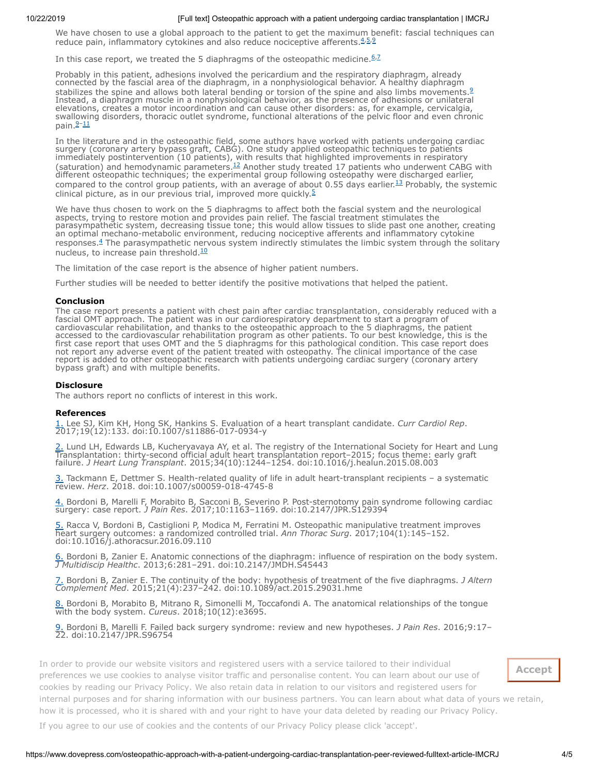We have chosen to use a global approach to the patient to get the maximum benefit: fascial techniques can reduce pain, inflammatory cytokines and also reduce nociceptive afferents. [4](#page-3-3),[5](#page-3-4),[9](#page-3-8)

In this case report, we treated the 5 diaphragms of the osteopathic medicine.  $62$  $62$ 

Probably in this patient, adhesions involved the pericardium and the respiratory diaphragm, already connected by the fascial area of the diaphragm, in a nonphysiological behavior. A healthy diaphragm stabilizes the spine and allows both lateral bending or torsion of the spine and also limbs movements.<sup>2</sup> Instead, a diaphragm muscle in a nonphysiological behavior, as the presence of adhesions or unilateral elevations, creates a motor incoordination and can cause other disorders: as, for example, cervicalgia, swallowing disorders, thoracic outlet syndrome, functional alterations of the pelvic floor and even chronic pain. $2-11$ 

<span id="page-3-13"></span><span id="page-3-12"></span>In the literature and in the osteopathic field, some authors have worked with patients undergoing cardiac surgery (coronary artery bypass graft, CABG). One study applied osteopathic techniques to patients immediately postintervention (10 patients), with results that highlighted improvements in respiratory (saturation) and hemodynamic parameters.<sup>[12](#page-3-11)</sup> Another study treated 17 patients who underwent CABG with different osteopathic techniques; the experimental group following osteopathy were discharged earlier, compared to the control group patients, with an average of about 0.55 days earlier.<sup>[13](#page-4-0)</sup> Probably, the systemic clinical picture, as in our previous trial, improved more quickly.<sup>[5](#page-3-4)</sup>

<span id="page-3-14"></span>We have thus chosen to work on the 5 diaphragms to affect both the fascial system and the neurological aspects, trying to restore motion and provides pain relief. The fascial treatment stimulates the parasympathetic system, decreasing tissue tone; this would allow tissues to slide past one another, creating an optimal mechano-metabolic environment, reducing nociceptive afferents and inflammatory cytokine responses.<sup>[4](#page-3-3)</sup> The parasympathetic nervous system indirectly stimulates the limbic system through the solitary nucleus, to increase pain threshold.<sup>[10](#page-3-9)</sup>

The limitation of the case report is the absence of higher patient numbers.

Further studies will be needed to better identify the positive motivations that helped the patient.

## **Conclusion**

The case report presents a patient with chest pain after cardiac transplantation, considerably reduced with a fascial OMT approach. The patient was in our cardiorespiratory department to start a program of cardiovascular rehabilitation, and thanks to the osteopathic approach to the 5 diaphragms, the patient accessed to the cardiovascular rehabilitation program as other patients. To our best knowledge, this is the first case report that uses OMT and the 5 diaphragms for this pathological condition. This case report does not report any adverse event of the patient treated with osteopathy. The clinical importance of the case report is added to other osteopathic research with patients undergoing cardiac surgery (coronary artery bypass graft) and with multiple benefits.

# **Disclosure**

The authors report no conflicts of interest in this work.

## **References**

<span id="page-3-0"></span>[1.](#page-0-0) Lee SJ, Kim KH, Hong SK, Hankins S. Evaluation of a heart transplant candidate. *Curr Cardiol Rep*. 2017;19(12):133. doi:10.1007/s11886-017-0934-y

<span id="page-3-1"></span>[2.](#page-0-1) Lund LH, Edwards LB, Kucheryavaya AY, et al. The registry of the International Society for Heart and Lung Transplantation: thirty-second official adult heart transplantation report–2015; focus theme: early graft failure. *J Heart Lung Transplant*. 2015;34(10):1244–1254. doi:10.1016/j.healun.2015.08.003

<span id="page-3-2"></span>[3.](#page-0-2) Tackmann E, Dettmer S. Health-related quality of life in adult heart-transplant recipients – a systematic review. *Herz*. 2018. doi:10.1007/s00059-018-4745-8

<span id="page-3-3"></span>[4.](#page-1-1) Bordoni B, Marelli F, Morabito B, Sacconi B, Severino P. Post-sternotomy pain syndrome following cardiac surgery: case report. *J Pain Res*. 2017;10:1163–1169. doi:10.2147/JPR.S129394

<span id="page-3-4"></span>[5.](#page-1-2) Racca V, Bordoni B, Castiglioni P, Modica M, Ferratini M. Osteopathic manipulative treatment improves heart surgery outcomes: a randomized controlled trial. *Ann Thorac Surg*. 2017;104(1):145–152. doi:10.1016/j.athoracsur.2016.09.110

<span id="page-3-5"></span>[6.](#page-1-3) Bordoni B, Zanier E. Anatomic connections of the diaphragm: influence of respiration on the body system. *J Multidiscip Healthc*. 2013;6:281–291. doi:10.2147/JMDH.S45443

<span id="page-3-6"></span>[7.](#page-1-4) Bordoni B, Zanier E. The continuity of the body: hypothesis of treatment of the five diaphragms. *J Altern Complement Med*. 2015;21(4):237–242. doi:10.1089/act.2015.29031.hme

<span id="page-3-7"></span>[8.](#page-1-5) Bordoni B, Morabito B, Mitrano R, Simonelli M, Toccafondi A. The anatomical relationships of the tongue with the body system. *Cureus*. 2018;10(12):e3695.

<span id="page-3-8"></span>[9.](#page-2-1) Bordoni B, Marelli F. Failed back surgery syndrome: review and new hypotheses. *J Pain Res*. 2016;9:17– 22. doi:10.2147/JPR.S96754

<span id="page-3-10"></span><span id="page-3-9"></span>In order to provide our website visitors and registered users with a service tailored to their individual preferences we use cookies to analyse visitor traffic and personalise content. You can learn about our use of obstructive pulmonary disease: the influence of breath. *Monaldi Arch Chest Dis*. 2017;87(1):811. cookies by reading our [Privacy Policy](https://www.dovepress.com/privacy.php). We also retain data in relation to our visitors and registered users for [12.](#page-3-13) O-Yuruati AH, Carnes MS, Clearfield MB, Clearfield MB, Carnes MS, Clearfield MB, Carnes MS, Clearfield MB, Carnes MS, Clearfield MB, McConathy WJ. Hemodynamic effects of osteopathic effects of osteopathic effects of os how it is processed, who it is shared with and your right to have your data deleted by reading our [Privacy Policy](https://www.dovepress.com/privacy.php). internal purposes and for sharing information with our business partners. You can learn about what data of yours we retain,

<span id="page-3-11"></span>If you agree to our use of cookies and the contents of our Privacy Policy please click 'accept'.